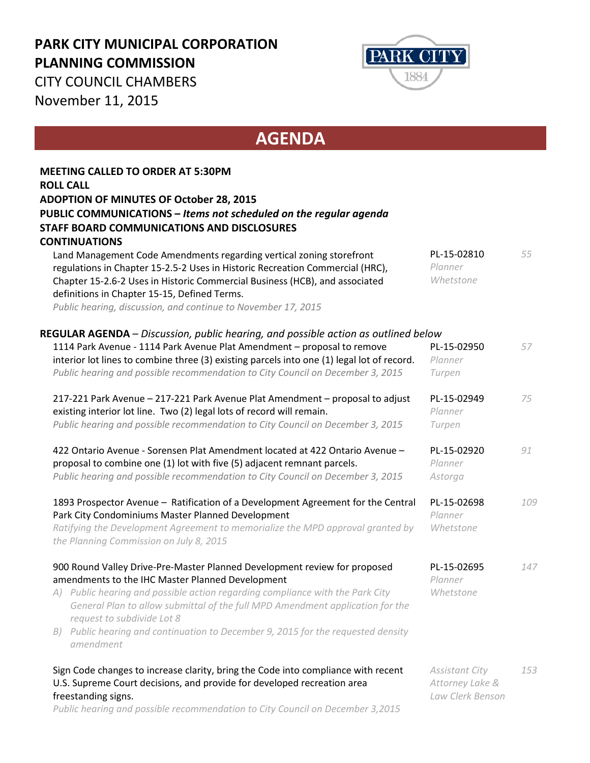## **PARK CITY MUNICIPAL CORPORATION PLANNING COMMISSION**



CITY COUNCIL CHAMBERS November 11, 2015

## **AGENDA**

|    | <b>MEETING CALLED TO ORDER AT 5:30PM</b>                                                                                                                                                                                             |                                     |     |
|----|--------------------------------------------------------------------------------------------------------------------------------------------------------------------------------------------------------------------------------------|-------------------------------------|-----|
|    | <b>ROLL CALL</b>                                                                                                                                                                                                                     |                                     |     |
|    | <b>ADOPTION OF MINUTES OF October 28, 2015</b>                                                                                                                                                                                       |                                     |     |
|    | PUBLIC COMMUNICATIONS - Items not scheduled on the regular agenda<br><b>STAFF BOARD COMMUNICATIONS AND DISCLOSURES</b>                                                                                                               |                                     |     |
|    | <b>CONTINUATIONS</b>                                                                                                                                                                                                                 |                                     |     |
|    | Land Management Code Amendments regarding vertical zoning storefront<br>regulations in Chapter 15-2.5-2 Uses in Historic Recreation Commercial (HRC),<br>Chapter 15-2.6-2 Uses in Historic Commercial Business (HCB), and associated | PL-15-02810<br>Planner<br>Whetstone | 55  |
|    | definitions in Chapter 15-15, Defined Terms.                                                                                                                                                                                         |                                     |     |
|    | Public hearing, discussion, and continue to November 17, 2015                                                                                                                                                                        |                                     |     |
|    | REGULAR AGENDA - Discussion, public hearing, and possible action as outlined below                                                                                                                                                   |                                     |     |
|    | 1114 Park Avenue - 1114 Park Avenue Plat Amendment - proposal to remove<br>interior lot lines to combine three (3) existing parcels into one (1) legal lot of record.                                                                | PL-15-02950<br>Planner              | 57  |
|    | Public hearing and possible recommendation to City Council on December 3, 2015                                                                                                                                                       | Turpen                              |     |
|    | 217-221 Park Avenue - 217-221 Park Avenue Plat Amendment - proposal to adjust                                                                                                                                                        | PL-15-02949                         | 75  |
|    | existing interior lot line. Two (2) legal lots of record will remain.                                                                                                                                                                | Planner                             |     |
|    | Public hearing and possible recommendation to City Council on December 3, 2015                                                                                                                                                       | Turpen                              |     |
|    | 422 Ontario Avenue - Sorensen Plat Amendment located at 422 Ontario Avenue -                                                                                                                                                         | PL-15-02920                         | 91  |
|    | proposal to combine one (1) lot with five (5) adjacent remnant parcels.                                                                                                                                                              | Planner                             |     |
|    | Public hearing and possible recommendation to City Council on December 3, 2015                                                                                                                                                       | Astorga                             |     |
|    | 1893 Prospector Avenue - Ratification of a Development Agreement for the Central<br>Park City Condominiums Master Planned Development                                                                                                | PL-15-02698<br>Planner              | 109 |
|    | Ratifying the Development Agreement to memorialize the MPD approval granted by<br>the Planning Commission on July 8, 2015                                                                                                            | Whetstone                           |     |
|    | 900 Round Valley Drive-Pre-Master Planned Development review for proposed<br>amendments to the IHC Master Planned Development                                                                                                        | PL-15-02695<br>Planner              | 147 |
|    | A) Public hearing and possible action regarding compliance with the Park City<br>General Plan to allow submittal of the full MPD Amendment application for the                                                                       | Whetstone                           |     |
|    | request to subdivide Lot 8                                                                                                                                                                                                           |                                     |     |
| B) | Public hearing and continuation to December 9, 2015 for the requested density<br>amendment                                                                                                                                           |                                     |     |
|    | Sign Code changes to increase clarity, bring the Code into compliance with recent                                                                                                                                                    | <b>Assistant City</b>               | 153 |
|    | U.S. Supreme Court decisions, and provide for developed recreation area<br>freestanding signs.                                                                                                                                       | Attorney Lake &<br>Law Clerk Benson |     |

*Public hearing and possible recommendation to City Council on December 3,2015*